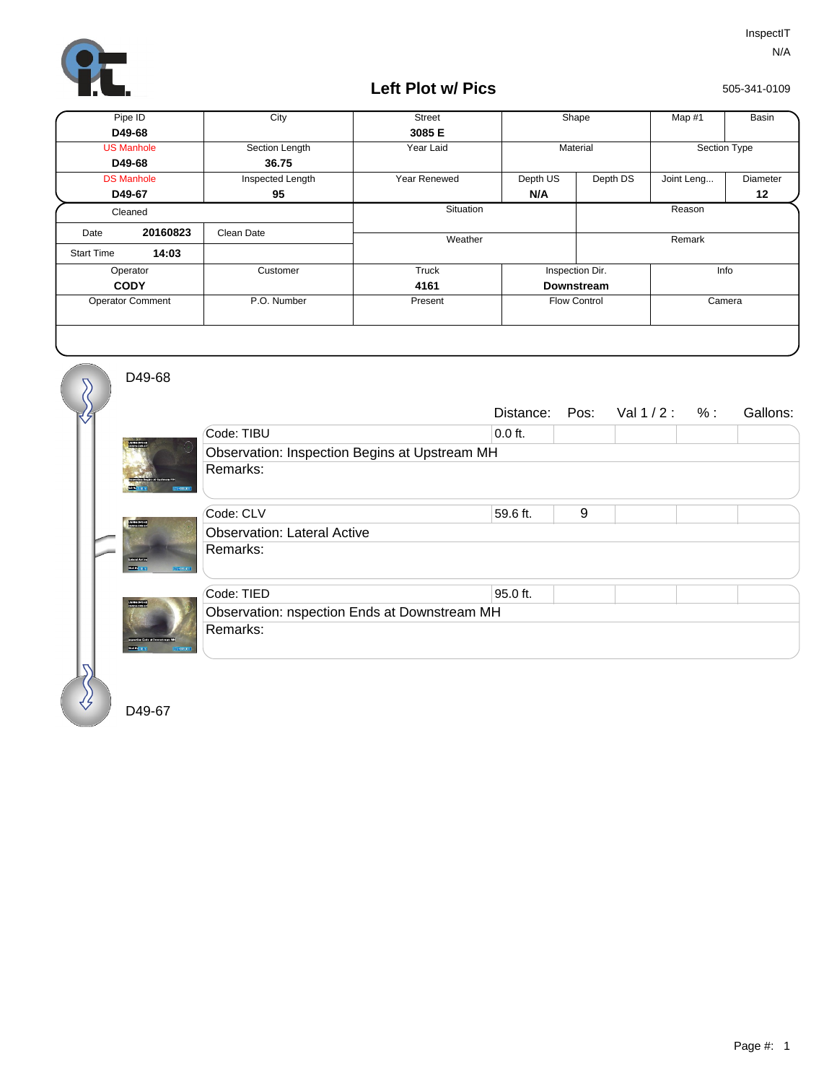

## **Left Plot w/ Pics**

505-341-0109

| Pipe ID                 |          | City             | <b>Street</b> | Shape               |          | Map #1       | Basin    |
|-------------------------|----------|------------------|---------------|---------------------|----------|--------------|----------|
| D49-68                  |          |                  | 3085 E        |                     |          |              |          |
| <b>US Manhole</b>       |          | Section Length   | Year Laid     | Material            |          | Section Type |          |
| D49-68                  |          | 36.75            |               |                     |          |              |          |
| <b>DS Manhole</b>       |          | Inspected Length | Year Renewed  | Depth US            | Depth DS | Joint Leng   | Diameter |
| D49-67                  |          | 95               |               | N/A                 |          |              | 12       |
| Cleaned                 |          |                  | Situation     |                     | Reason   |              |          |
| Date                    | 20160823 | Clean Date       |               |                     | Remark   |              |          |
| <b>Start Time</b>       | 14:03    |                  | Weather       |                     |          |              |          |
| Operator                |          | Customer         | Truck         | Inspection Dir.     |          | Info         |          |
| <b>CODY</b>             |          |                  | 4161          | <b>Downstream</b>   |          |              |          |
| <b>Operator Comment</b> |          | P.O. Number      | Present       | <b>Flow Control</b> |          | Camera       |          |
|                         |          |                  |               |                     |          |              |          |

D49-68

 $\overline{\mathcal{S}}$ 

| Code: TIBU<br>$0.0$ ft.<br><b>RANDARY</b><br>Observation: Inspection Begins at Upstream MH<br>Remarks:<br><b>SA-00000R</b><br>9<br>Code: CLV<br>59.6 ft.<br><b>STATISTICS</b><br><b>Observation: Lateral Active</b><br>Remarks:<br>000001033<br><b>INFORMATI</b> |  |  |  |  |  |  |  |  |
|------------------------------------------------------------------------------------------------------------------------------------------------------------------------------------------------------------------------------------------------------------------|--|--|--|--|--|--|--|--|
|                                                                                                                                                                                                                                                                  |  |  |  |  |  |  |  |  |
|                                                                                                                                                                                                                                                                  |  |  |  |  |  |  |  |  |
|                                                                                                                                                                                                                                                                  |  |  |  |  |  |  |  |  |
|                                                                                                                                                                                                                                                                  |  |  |  |  |  |  |  |  |
|                                                                                                                                                                                                                                                                  |  |  |  |  |  |  |  |  |
|                                                                                                                                                                                                                                                                  |  |  |  |  |  |  |  |  |
| Code: TIED<br>95.0 ft.                                                                                                                                                                                                                                           |  |  |  |  |  |  |  |  |
| <b>PANDROLLAS</b><br>Observation: nspection Ends at Downstream MH                                                                                                                                                                                                |  |  |  |  |  |  |  |  |
| Remarks:<br>spective Ends of Development N<br><b>SIXING</b><br><b>LCC 0005001</b>                                                                                                                                                                                |  |  |  |  |  |  |  |  |

D49-67

€